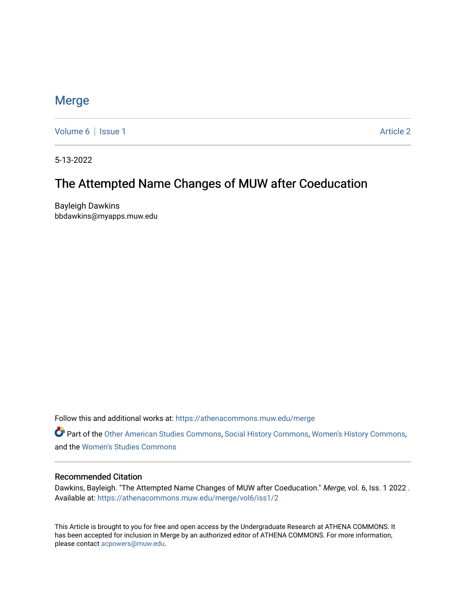## [Merge](https://athenacommons.muw.edu/merge)

[Volume 6](https://athenacommons.muw.edu/merge/vol6) | [Issue 1](https://athenacommons.muw.edu/merge/vol6/iss1) Article 2

5-13-2022

## The Attempted Name Changes of MUW after Coeducation

Bayleigh Dawkins bbdawkins@myapps.muw.edu

Follow this and additional works at: [https://athenacommons.muw.edu/merge](https://athenacommons.muw.edu/merge?utm_source=athenacommons.muw.edu%2Fmerge%2Fvol6%2Fiss1%2F2&utm_medium=PDF&utm_campaign=PDFCoverPages) 

Part of the [Other American Studies Commons,](https://network.bepress.com/hgg/discipline/445?utm_source=athenacommons.muw.edu%2Fmerge%2Fvol6%2Fiss1%2F2&utm_medium=PDF&utm_campaign=PDFCoverPages) [Social History Commons](https://network.bepress.com/hgg/discipline/506?utm_source=athenacommons.muw.edu%2Fmerge%2Fvol6%2Fiss1%2F2&utm_medium=PDF&utm_campaign=PDFCoverPages), [Women's History Commons,](https://network.bepress.com/hgg/discipline/507?utm_source=athenacommons.muw.edu%2Fmerge%2Fvol6%2Fiss1%2F2&utm_medium=PDF&utm_campaign=PDFCoverPages) and the [Women's Studies Commons](https://network.bepress.com/hgg/discipline/561?utm_source=athenacommons.muw.edu%2Fmerge%2Fvol6%2Fiss1%2F2&utm_medium=PDF&utm_campaign=PDFCoverPages) 

#### Recommended Citation

Dawkins, Bayleigh. "The Attempted Name Changes of MUW after Coeducation." Merge, vol. 6, Iss. 1 2022 . Available at: [https://athenacommons.muw.edu/merge/vol6/iss1/2](https://athenacommons.muw.edu/merge/vol6/iss1/2?utm_source=athenacommons.muw.edu%2Fmerge%2Fvol6%2Fiss1%2F2&utm_medium=PDF&utm_campaign=PDFCoverPages) 

This Article is brought to you for free and open access by the Undergraduate Research at ATHENA COMMONS. It has been accepted for inclusion in Merge by an authorized editor of ATHENA COMMONS. For more information, please contact [acpowers@muw.edu](mailto:acpowers@muw.edu).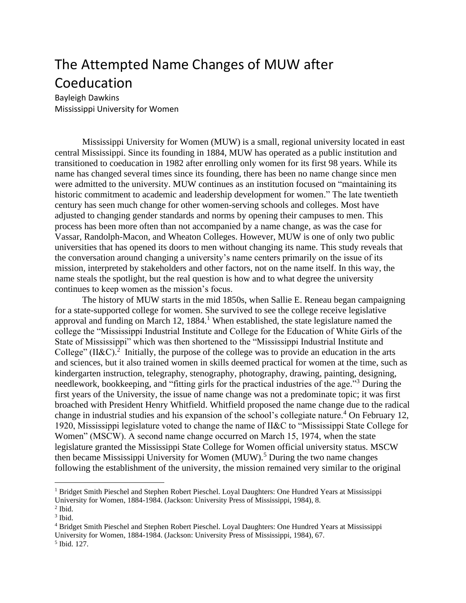# The Attempted Name Changes of MUW after Coeducation

Bayleigh Dawkins Mississippi University for Women

Mississippi University for Women (MUW) is a small, regional university located in east central Mississippi. Since its founding in 1884, MUW has operated as a public institution and transitioned to coeducation in 1982 after enrolling only women for its first 98 years. While its name has changed several times since its founding, there has been no name change since men were admitted to the university. MUW continues as an institution focused on "maintaining its historic commitment to academic and leadership development for women." The late twentieth century has seen much change for other women-serving schools and colleges. Most have adjusted to changing gender standards and norms by opening their campuses to men. This process has been more often than not accompanied by a name change, as was the case for Vassar, Randolph-Macon, and Wheaton Colleges. However, MUW is one of only two public universities that has opened its doors to men without changing its name. This study reveals that the conversation around changing a university's name centers primarily on the issue of its mission, interpreted by stakeholders and other factors, not on the name itself. In this way, the name steals the spotlight, but the real question is how and to what degree the university continues to keep women as the mission's focus.

The history of MUW starts in the mid 1850s, when Sallie E. Reneau began campaigning for a state-supported college for women. She survived to see the college receive legislative approval and funding on March 12,  $1884<sup>1</sup>$  When established, the state legislature named the college the "Mississippi Industrial Institute and College for the Education of White Girls of the State of Mississippi" which was then shortened to the "Mississippi Industrial Institute and College" (II&C).<sup>2</sup> Initially, the purpose of the college was to provide an education in the arts and sciences, but it also trained women in skills deemed practical for women at the time, such as kindergarten instruction, telegraphy, stenography, photography, drawing, painting, designing, needlework, bookkeeping, and "fitting girls for the practical industries of the age."<sup>3</sup> During the first years of the University, the issue of name change was not a predominate topic; it was first broached with President Henry Whitfield. Whitfield proposed the name change due to the radical change in industrial studies and his expansion of the school's collegiate nature.<sup>4</sup> On February 12, 1920, Mississippi legislature voted to change the name of II&C to "Mississippi State College for Women" (MSCW). A second name change occurred on March 15, 1974, when the state legislature granted the Mississippi State College for Women official university status. MSCW then became Mississippi University for Women  $(MUW)$ <sup>5</sup>. During the two name changes following the establishment of the university, the mission remained very similar to the original

<sup>&</sup>lt;sup>1</sup> Bridget Smith Pieschel and Stephen Robert Pieschel. Loyal Daughters: One Hundred Years at Mississippi University for Women, 1884-1984. (Jackson: University Press of Mississippi, 1984), 8.

 $<sup>2</sup>$  Ibid.</sup> 3 Ibid.

<sup>4</sup> Bridget Smith Pieschel and Stephen Robert Pieschel. Loyal Daughters: One Hundred Years at Mississippi University for Women, 1884-1984. (Jackson: University Press of Mississippi, 1984), 67.

<sup>5</sup> Ibid. 127.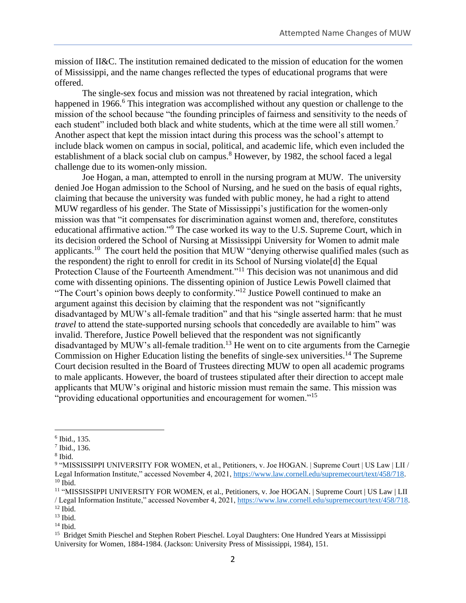mission of II&C. The institution remained dedicated to the mission of education for the women of Mississippi, and the name changes reflected the types of educational programs that were offered.

The single-sex focus and mission was not threatened by racial integration, which happened in 1966.<sup>6</sup> This integration was accomplished without any question or challenge to the mission of the school because "the founding principles of fairness and sensitivity to the needs of each student" included both black and white students, which at the time were all still women.<sup>7</sup> Another aspect that kept the mission intact during this process was the school's attempt to include black women on campus in social, political, and academic life, which even included the establishment of a black social club on campus.<sup>8</sup> However, by 1982, the school faced a legal challenge due to its women-only mission.

Joe Hogan, a man, attempted to enroll in the nursing program at MUW. The university denied Joe Hogan admission to the School of Nursing, and he sued on the basis of equal rights, claiming that because the university was funded with public money, he had a right to attend MUW regardless of his gender. The State of Mississippi's justification for the women-only mission was that "it compensates for discrimination against women and, therefore, constitutes educational affirmative action."<sup>9</sup> The case worked its way to the U.S. Supreme Court, which in its decision ordered the School of Nursing at Mississippi University for Women to admit male applicants.<sup>10</sup> The court held the position that MUW "denying otherwise qualified males (such as the respondent) the right to enroll for credit in its School of Nursing violate[d] the Equal Protection Clause of the Fourteenth Amendment."<sup>11</sup> This decision was not unanimous and did come with dissenting opinions. The dissenting opinion of Justice Lewis Powell claimed that "The Court's opinion bows deeply to conformity."<sup>12</sup> Justice Powell continued to make an argument against this decision by claiming that the respondent was not "significantly disadvantaged by MUW's all-female tradition" and that his "single asserted harm: that he must *travel* to attend the state-supported nursing schools that concededly are available to him" was invalid. Therefore, Justice Powell believed that the respondent was not significantly disadvantaged by MUW's all-female tradition.<sup>13</sup> He went on to cite arguments from the Carnegie Commission on Higher Education listing the benefits of single-sex universities.<sup>14</sup> The Supreme Court decision resulted in the Board of Trustees directing MUW to open all academic programs to male applicants. However, the board of trustees stipulated after their direction to accept male applicants that MUW's original and historic mission must remain the same. This mission was "providing educational opportunities and encouragement for women."<sup>15</sup>

<sup>6</sup> Ibid., 135.

<sup>7</sup> Ibid., 136.

<sup>8</sup> Ibid.

<sup>9</sup> "MISSISSIPPI UNIVERSITY FOR WOMEN, et al., Petitioners, v. Joe HOGAN. | Supreme Court | US Law | LII / Legal Information Institute," accessed November 4, 2021, [https://www.law.cornell.edu/supremecourt/text/458/718.](about:blank)  $10$  Ibid.

<sup>11</sup> "MISSISSIPPI UNIVERSITY FOR WOMEN, et al., Petitioners, v. Joe HOGAN. | Supreme Court | US Law | LII / Legal Information Institute," accessed November 4, 2021, [https://www.law.cornell.edu/supremecourt/text/458/718.](about:blank) <sup>12</sup> Ibid.

 $13$  Ibid.

 $14$  Ibid.

<sup>&</sup>lt;sup>15</sup> Bridget Smith Pieschel and Stephen Robert Pieschel. Loyal Daughters: One Hundred Years at Mississippi University for Women, 1884-1984. (Jackson: University Press of Mississippi, 1984), 151.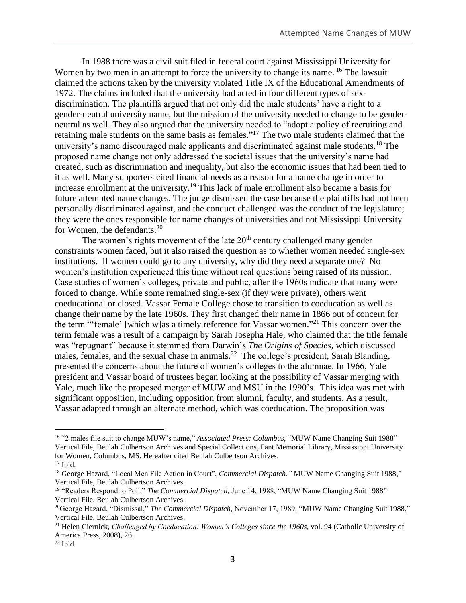In 1988 there was a civil suit filed in federal court against Mississippi University for Women by two men in an attempt to force the university to change its name. <sup>16</sup> The lawsuit claimed the actions taken by the university violated Title IX of the Educational Amendments of 1972. The claims included that the university had acted in four different types of sexdiscrimination. The plaintiffs argued that not only did the male students' have a right to a gender-neutral university name, but the mission of the university needed to change to be genderneutral as well. They also argued that the university needed to "adopt a policy of recruiting and retaining male students on the same basis as females."<sup>17</sup> The two male students claimed that the university's name discouraged male applicants and discriminated against male students.<sup>18</sup> The proposed name change not only addressed the societal issues that the university's name had created, such as discrimination and inequality, but also the economic issues that had been tied to it as well. Many supporters cited financial needs as a reason for a name change in order to increase enrollment at the university.<sup>19</sup> This lack of male enrollment also became a basis for future attempted name changes. The judge dismissed the case because the plaintiffs had not been personally discriminated against, and the conduct challenged was the conduct of the legislature; they were the ones responsible for name changes of universities and not Mississippi University for Women, the defendants.<sup>20</sup>

The women's rights movement of the late  $20<sup>th</sup>$  century challenged many gender constraints women faced, but it also raised the question as to whether women needed single-sex institutions. If women could go to any university, why did they need a separate one? No women's institution experienced this time without real questions being raised of its mission. Case studies of women's colleges, private and public, after the 1960s indicate that many were forced to change. While some remained single-sex (if they were private), others went coeducational or closed. Vassar Female College chose to transition to coeducation as well as change their name by the late 1960s. They first changed their name in 1866 out of concern for the term "'female' [which w]as a timely reference for Vassar women."<sup>21</sup> This concern over the term female was a result of a campaign by Sarah Josepha Hale, who claimed that the title female was "repugnant" because it stemmed from Darwin's *The Origins of Species,* which discussed males, females, and the sexual chase in animals.<sup>22</sup> The college's president, Sarah Blanding, presented the concerns about the future of women's colleges to the alumnae. In 1966, Yale president and Vassar board of trustees began looking at the possibility of Vassar merging with Yale, much like the proposed merger of MUW and MSU in the 1990's. This idea was met with significant opposition, including opposition from alumni, faculty, and students. As a result, Vassar adapted through an alternate method, which was coeducation. The proposition was

<sup>16</sup> "2 males file suit to change MUW's name," *Associated Press: Columbus,* "MUW Name Changing Suit 1988" Vertical File, Beulah Culbertson Archives and Special Collections, Fant Memorial Library, Mississippi University for Women, Columbus, MS. Hereafter cited Beulah Culbertson Archives.  $17$  Ibid.

<sup>&</sup>lt;sup>18</sup> George Hazard, "Local Men File Action in Court", *Commercial Dispatch*." MUW Name Changing Suit 1988," Vertical File, Beulah Culbertson Archives.

<sup>19</sup> "Readers Respond to Poll," *The Commercial Dispatch,* June 14, 1988, "MUW Name Changing Suit 1988" Vertical File, Beulah Culbertson Archives.

<sup>20</sup>George Hazard, "Dismissal," *The Commercial Dispatch,* November 17, 1989, "MUW Name Changing Suit 1988," Vertical File, Beulah Culbertson Archives.

<sup>21</sup> Helen Ciernick, *Challenged by Coeducation: Women's Colleges since the 1960s*, vol. 94 (Catholic University of America Press, 2008), 26.

 $22$  Ibid.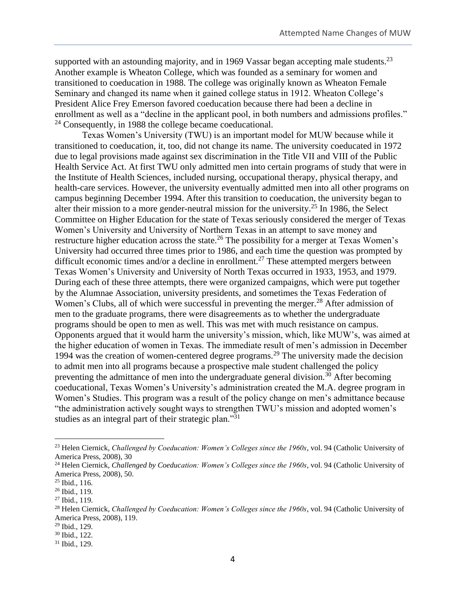supported with an astounding majority, and in 1969 Vassar began accepting male students.<sup>23</sup> Another example is Wheaton College, which was founded as a seminary for women and transitioned to coeducation in 1988. The college was originally known as Wheaton Female Seminary and changed its name when it gained college status in 1912. Wheaton College's President Alice Frey Emerson favored coeducation because there had been a decline in enrollment as well as a "decline in the applicant pool, in both numbers and admissions profiles." <sup>24</sup> Consequently, in 1988 the college became coeducational.

Texas Women's University (TWU) is an important model for MUW because while it transitioned to coeducation, it, too, did not change its name. The university coeducated in 1972 due to legal provisions made against sex discrimination in the Title VII and VIII of the Public Health Service Act. At first TWU only admitted men into certain programs of study that were in the Institute of Health Sciences, included nursing, occupational therapy, physical therapy, and health-care services. However, the university eventually admitted men into all other programs on campus beginning December 1994. After this transition to coeducation, the university began to alter their mission to a more gender-neutral mission for the university.<sup>25</sup> In 1986, the Select Committee on Higher Education for the state of Texas seriously considered the merger of Texas Women's University and University of Northern Texas in an attempt to save money and restructure higher education across the state.<sup>26</sup> The possibility for a merger at Texas Women's University had occurred three times prior to 1986, and each time the question was prompted by difficult economic times and/or a decline in enrollment.<sup>27</sup> These attempted mergers between Texas Women's University and University of North Texas occurred in 1933, 1953, and 1979. During each of these three attempts, there were organized campaigns, which were put together by the Alumnae Association, university presidents, and sometimes the Texas Federation of Women's Clubs, all of which were successful in preventing the merger.<sup>28</sup> After admission of men to the graduate programs, there were disagreements as to whether the undergraduate programs should be open to men as well. This was met with much resistance on campus. Opponents argued that it would harm the university's mission, which, like MUW's, was aimed at the higher education of women in Texas. The immediate result of men's admission in December 1994 was the creation of women-centered degree programs.<sup>29</sup> The university made the decision to admit men into all programs because a prospective male student challenged the policy preventing the admittance of men into the undergraduate general division.<sup>30</sup> After becoming coeducational, Texas Women's University's administration created the M.A. degree program in Women's Studies. This program was a result of the policy change on men's admittance because "the administration actively sought ways to strengthen TWU's mission and adopted women's studies as an integral part of their strategic plan."<sup>31</sup>

<sup>23</sup> Helen Ciernick, *Challenged by Coeducation: Women's Colleges since the 1960s*, vol. 94 (Catholic University of America Press, 2008), 30

<sup>24</sup> Helen Ciernick, *Challenged by Coeducation: Women's Colleges since the 1960s*, vol. 94 (Catholic University of America Press, 2008), 50.

<sup>25</sup> Ibid., 116.

<sup>26</sup> Ibid., 119.

<sup>27</sup> Ibid., 119.

<sup>28</sup> Helen Ciernick, *Challenged by Coeducation: Women's Colleges since the 1960s*, vol. 94 (Catholic University of America Press, 2008), 119.

<sup>29</sup> Ibid., 129.

<sup>30</sup> Ibid., 122.

<sup>31</sup> Ibid., 129.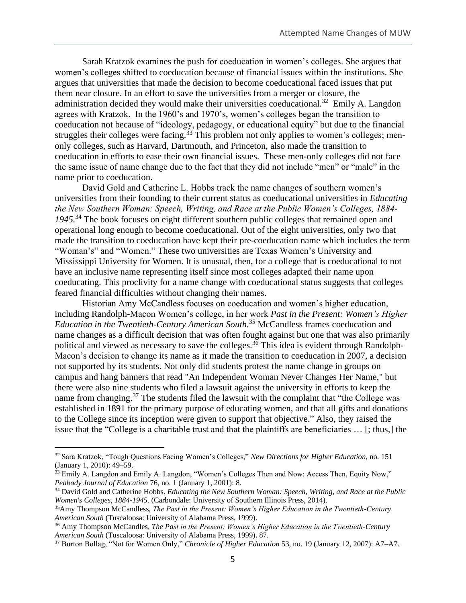Sarah Kratzok examines the push for coeducation in women's colleges. She argues that women's colleges shifted to coeducation because of financial issues within the institutions. She argues that universities that made the decision to become coeducational faced issues that put them near closure. In an effort to save the universities from a merger or closure, the administration decided they would make their universities coeducational.<sup>32</sup> Emily A. Langdon agrees with Kratzok. In the 1960's and 1970's, women's colleges began the transition to coeducation not because of "ideology, pedagogy, or educational equity" but due to the financial struggles their colleges were facing.<sup>33</sup> This problem not only applies to women's colleges; menonly colleges, such as Harvard, Dartmouth, and Princeton, also made the transition to coeducation in efforts to ease their own financial issues. These men-only colleges did not face the same issue of name change due to the fact that they did not include "men" or "male" in the name prior to coeducation.

David Gold and Catherine L. Hobbs track the name changes of southern women's universities from their founding to their current status as coeducational universities in *Educating the New Southern Woman: Speech, Writing, and Race at the Public Women's Colleges, 1884- 1945.*<sup>34</sup> The book focuses on eight different southern public colleges that remained open and operational long enough to become coeducational. Out of the eight universities, only two that made the transition to coeducation have kept their pre-coeducation name which includes the term "Woman's" and "Women." These two universities are Texas Women's University and Mississippi University for Women. It is unusual, then, for a college that is coeducational to not have an inclusive name representing itself since most colleges adapted their name upon coeducating. This proclivity for a name change with coeducational status suggests that colleges feared financial difficulties without changing their names.

Historian Amy McCandless focuses on coeducation and women's higher education, including Randolph-Macon Women's college, in her work *Past in the Present: Women's Higher Education in the Twentieth-Century American South.*<sup>35</sup> McCandless frames coeducation and name changes as a difficult decision that was often fought against but one that was also primarily political and viewed as necessary to save the colleges.<sup>36</sup> This idea is evident through Randolph-Macon's decision to change its name as it made the transition to coeducation in 2007, a decision not supported by its students. Not only did students protest the name change in groups on campus and hang banners that read "An Independent Woman Never Changes Her Name," but there were also nine students who filed a lawsuit against the university in efforts to keep the name from changing.<sup>37</sup> The students filed the lawsuit with the complaint that "the College was established in 1891 for the primary purpose of educating women, and that all gifts and donations to the College since its inception were given to support that objective." Also, they raised the issue that the "College is a charitable trust and that the plaintiffs are beneficiaries … [; thus,] the

<sup>32</sup> Sara Kratzok, "Tough Questions Facing Women's Colleges," *New Directions for Higher Education*, no. 151 (January 1, 2010): 49–59.

<sup>&</sup>lt;sup>33</sup> Emily A. Langdon and Emily A. Langdon, "Women's Colleges Then and Now: Access Then, Equity Now," *Peabody Journal of Education* 76, no. 1 (January 1, 2001): 8.

<sup>34</sup> David Gold and Catherine Hobbs. *Educating the New Southern Woman: Speech, Writing, and Race at the Public Women's Colleges, 1884-1945*. (Carbondale: University of Southern Illinois Press, 2014).

<sup>35</sup>Amy Thompson McCandless, *The Past in the Present: Women's Higher Education in the Twentieth-Century American South* (Tuscaloosa: University of Alabama Press, 1999).

<sup>36</sup> Amy Thompson McCandles, *The Past in the Present: Women's Higher Education in the Twentieth-Century American South* (Tuscaloosa: University of Alabama Press, 1999). 87.

<sup>37</sup> Burton Bollag, "Not for Women Only," *Chronicle of Higher Education* 53, no. 19 (January 12, 2007): A7–A7.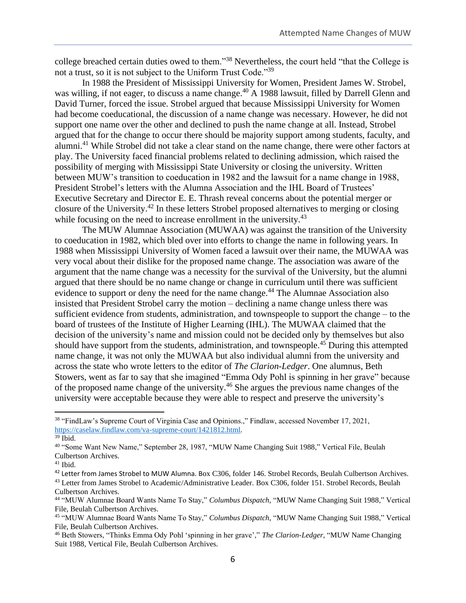college breached certain duties owed to them."<sup>38</sup> Nevertheless, the court held "that the College is not a trust, so it is not subject to the Uniform Trust Code."<sup>39</sup>

In 1988 the President of Mississippi University for Women, President James W. Strobel, was willing, if not eager, to discuss a name change.<sup>40</sup> A 1988 lawsuit, filled by Darrell Glenn and David Turner, forced the issue. Strobel argued that because Mississippi University for Women had become coeducational, the discussion of a name change was necessary. However, he did not support one name over the other and declined to push the name change at all. Instead, Strobel argued that for the change to occur there should be majority support among students, faculty, and alumni.<sup>41</sup> While Strobel did not take a clear stand on the name change, there were other factors at play. The University faced financial problems related to declining admission, which raised the possibility of merging with Mississippi State University or closing the university. Written between MUW's transition to coeducation in 1982 and the lawsuit for a name change in 1988, President Strobel's letters with the Alumna Association and the IHL Board of Trustees' Executive Secretary and Director E. E. Thrash reveal concerns about the potential merger or closure of the University.<sup>42</sup> In these letters Strobel proposed alternatives to merging or closing while focusing on the need to increase enrollment in the university.<sup>43</sup>

The MUW Alumnae Association (MUWAA) was against the transition of the University to coeducation in 1982, which bled over into efforts to change the name in following years. In 1988 when Mississippi University of Women faced a lawsuit over their name, the MUWAA was very vocal about their dislike for the proposed name change. The association was aware of the argument that the name change was a necessity for the survival of the University, but the alumni argued that there should be no name change or change in curriculum until there was sufficient evidence to support or deny the need for the name change.<sup>44</sup> The Alumnae Association also insisted that President Strobel carry the motion – declining a name change unless there was sufficient evidence from students, administration, and townspeople to support the change – to the board of trustees of the Institute of Higher Learning (IHL). The MUWAA claimed that the decision of the university's name and mission could not be decided only by themselves but also should have support from the students, administration, and townspeople.<sup>45</sup> During this attempted name change, it was not only the MUWAA but also individual alumni from the university and across the state who wrote letters to the editor of *The Clarion-Ledger*. One alumnus, Beth Stowers, went as far to say that she imagined "Emma Ody Pohl is spinning in her grave" because of the proposed name change of the university.<sup>46</sup> She argues the previous name changes of the university were acceptable because they were able to respect and preserve the university's

<sup>38</sup> "FindLaw's Supreme Court of Virginia Case and Opinions.," Findlaw, accessed November 17, 2021, [https://caselaw.findlaw.com/va-supreme-court/1421812.html.](about:blank)

 $39$  Ibid.

<sup>40</sup> "Some Want New Name," September 28, 1987, "MUW Name Changing Suit 1988," Vertical File, Beulah Culbertson Archives.

 $41$  Ibid.

<sup>&</sup>lt;sup>42</sup> Letter from James Strobel to MUW Alumna. Box C306, folder 146. Strobel Records, Beulah Culbertson Archives. <sup>43</sup> Letter from James Strobel to Academic/Administrative Leader. Box C306, folder 151. Strobel Records, Beulah Culbertson Archives.

<sup>44</sup> "MUW Alumnae Board Wants Name To Stay," *Columbus Dispatch,* "MUW Name Changing Suit 1988," Vertical File, Beulah Culbertson Archives.

<sup>45</sup> "MUW Alumnae Board Wants Name To Stay," *Columbus Dispatch,* "MUW Name Changing Suit 1988," Vertical File, Beulah Culbertson Archives.

<sup>46</sup> Beth Stowers, "Thinks Emma Ody Pohl 'spinning in her grave'," *The Clarion-Ledger,* "MUW Name Changing Suit 1988, Vertical File, Beulah Culbertson Archives.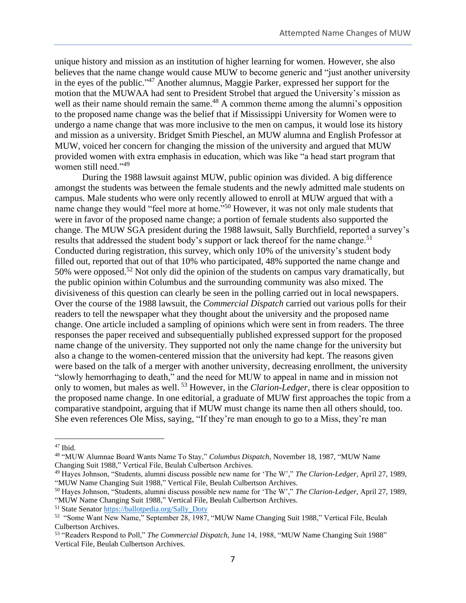unique history and mission as an institution of higher learning for women. However, she also believes that the name change would cause MUW to become generic and "just another university in the eyes of the public." <sup>47</sup> Another alumnus, Maggie Parker, expressed her support for the motion that the MUWAA had sent to President Strobel that argued the University's mission as well as their name should remain the same.<sup>48</sup> A common theme among the alumni's opposition to the proposed name change was the belief that if Mississippi University for Women were to undergo a name change that was more inclusive to the men on campus, it would lose its history and mission as a university. Bridget Smith Pieschel, an MUW alumna and English Professor at MUW, voiced her concern for changing the mission of the university and argued that MUW provided women with extra emphasis in education, which was like "a head start program that women still need."<sup>49</sup>

During the 1988 lawsuit against MUW, public opinion was divided. A big difference amongst the students was between the female students and the newly admitted male students on campus. Male students who were only recently allowed to enroll at MUW argued that with a name change they would "feel more at home."<sup>50</sup> However, it was not only male students that were in favor of the proposed name change; a portion of female students also supported the change. The MUW SGA president during the 1988 lawsuit, Sally Burchfield, reported a survey's results that addressed the student body's support or lack thereof for the name change.<sup>51</sup> Conducted during registration, this survey, which only 10% of the university's student body filled out, reported that out of that 10% who participated, 48% supported the name change and 50% were opposed.<sup>52</sup> Not only did the opinion of the students on campus vary dramatically, but the public opinion within Columbus and the surrounding community was also mixed. The divisiveness of this question can clearly be seen in the polling carried out in local newspapers. Over the course of the 1988 lawsuit, the *Commercial Dispatch* carried out various polls for their readers to tell the newspaper what they thought about the university and the proposed name change. One article included a sampling of opinions which were sent in from readers. The three responses the paper received and subsequentially published expressed support for the proposed name change of the university. They supported not only the name change for the university but also a change to the women-centered mission that the university had kept. The reasons given were based on the talk of a merger with another university, decreasing enrollment, the university "slowly hemorrhaging to death," and the need for MUW to appeal in name and in mission not only to women, but males as well. <sup>53</sup> However, in the *Clarion-Ledger*, there is clear opposition to the proposed name change. In one editorial, a graduate of MUW first approaches the topic from a comparative standpoint, arguing that if MUW must change its name then all others should, too. She even references Ole Miss, saying, "If they're man enough to go to a Miss, they're man

<sup>47</sup> Ibid.

<sup>48</sup> "MUW Alumnae Board Wants Name To Stay," *Columbus Dispatch,* November 18, 1987, "MUW Name Changing Suit 1988," Vertical File, Beulah Culbertson Archives.

<sup>49</sup> Hayes Johnson, "Students, alumni discuss possible new name for 'The W'," *The Clarion-Ledger,* April 27, 1989, "MUW Name Changing Suit 1988," Vertical File, Beulah Culbertson Archives.

<sup>50</sup> Hayes Johnson, "Students, alumni discuss possible new name for 'The W'," *The Clarion-Ledger,* April 27, 1989, "MUW Name Changing Suit 1988," Vertical File, Beulah Culbertson Archives.

<sup>51</sup> State Senator [https://ballotpedia.org/Sally\\_Doty](about:blank)

<sup>52</sup> "Some Want New Name," September 28, 1987, "MUW Name Changing Suit 1988," Vertical File, Beulah Culbertson Archives.

<sup>53</sup> "Readers Respond to Poll," *The Commercial Dispatch,* June 14, 1988, "MUW Name Changing Suit 1988" Vertical File, Beulah Culbertson Archives.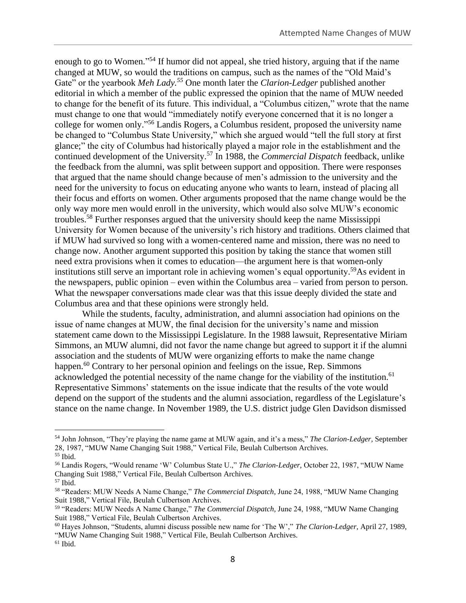enough to go to Women."<sup>54</sup> If humor did not appeal, she tried history, arguing that if the name changed at MUW, so would the traditions on campus, such as the names of the "Old Maid's Gate" or the yearbook *Meh Lady*.<sup>55</sup> One month later the *Clarion-Ledger* published another editorial in which a member of the public expressed the opinion that the name of MUW needed to change for the benefit of its future. This individual, a "Columbus citizen," wrote that the name must change to one that would "immediately notify everyone concerned that it is no longer a college for women only." <sup>56</sup> Landis Rogers, a Columbus resident, proposed the university name be changed to "Columbus State University," which she argued would "tell the full story at first glance;" the city of Columbus had historically played a major role in the establishment and the continued development of the University.<sup>57</sup> In 1988, the *Commercial Dispatch* feedback, unlike the feedback from the alumni, was split between support and opposition. There were responses that argued that the name should change because of men's admission to the university and the need for the university to focus on educating anyone who wants to learn, instead of placing all their focus and efforts on women. Other arguments proposed that the name change would be the only way more men would enroll in the university, which would also solve MUW's economic troubles.<sup>58</sup> Further responses argued that the university should keep the name Mississippi University for Women because of the university's rich history and traditions. Others claimed that if MUW had survived so long with a women-centered name and mission, there was no need to change now. Another argument supported this position by taking the stance that women still need extra provisions when it comes to education—the argument here is that women-only institutions still serve an important role in achieving women's equal opportunity.<sup>59</sup>As evident in the newspapers, public opinion – even within the Columbus area – varied from person to person. What the newspaper conversations made clear was that this issue deeply divided the state and Columbus area and that these opinions were strongly held.

While the students, faculty, administration, and alumni association had opinions on the issue of name changes at MUW, the final decision for the university's name and mission statement came down to the Mississippi Legislature. In the 1988 lawsuit, Representative Miriam Simmons, an MUW alumni, did not favor the name change but agreed to support it if the alumni association and the students of MUW were organizing efforts to make the name change happen.<sup>60</sup> Contrary to her personal opinion and feelings on the issue, Rep. Simmons acknowledged the potential necessity of the name change for the viability of the institution.<sup>61</sup> Representative Simmons' statements on the issue indicate that the results of the vote would depend on the support of the students and the alumni association, regardless of the Legislature's stance on the name change. In November 1989, the U.S. district judge Glen Davidson dismissed

<sup>54</sup> John Johnson, "They're playing the name game at MUW again, and it's a mess," *The Clarion-Ledger,* September 28, 1987, "MUW Name Changing Suit 1988," Vertical File, Beulah Culbertson Archives.

<sup>55</sup> Ibid.

<sup>56</sup> Landis Rogers, "Would rename 'W' Columbus State U.," *The Clarion-Ledger,* October 22, 1987, "MUW Name Changing Suit 1988," Vertical File, Beulah Culbertson Archives.

<sup>57</sup> Ibid.

<sup>58</sup> "Readers: MUW Needs A Name Change," *The Commercial Dispatch,* June 24, 1988, "MUW Name Changing Suit 1988," Vertical File, Beulah Culbertson Archives.

<sup>59</sup> "Readers: MUW Needs A Name Change," *The Commercial Dispatch,* June 24, 1988, "MUW Name Changing Suit 1988," Vertical File, Beulah Culbertson Archives.

<sup>60</sup> Hayes Johnson, "Students, alumni discuss possible new name for 'The W'," *The Clarion-Ledger,* April 27, 1989, "MUW Name Changing Suit 1988," Vertical File, Beulah Culbertson Archives.  $61$  Ibid.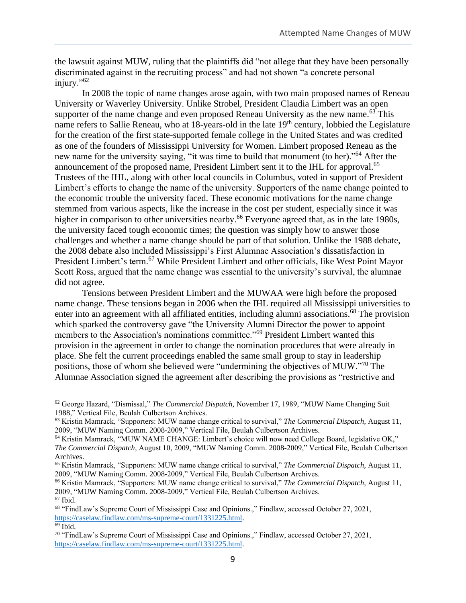the lawsuit against MUW, ruling that the plaintiffs did "not allege that they have been personally discriminated against in the recruiting process" and had not shown "a concrete personal injury."<sup>62</sup>

In 2008 the topic of name changes arose again, with two main proposed names of Reneau University or Waverley University. Unlike Strobel, President Claudia Limbert was an open supporter of the name change and even proposed Reneau University as the new name.<sup>63</sup> This name refers to Sallie Reneau, who at 18-years-old in the late 19<sup>th</sup> century, lobbied the Legislature for the creation of the first state-supported female college in the United States and was credited as one of the founders of Mississippi University for Women. Limbert proposed Reneau as the new name for the university saying, "it was time to build that monument (to her)."<sup>64</sup> After the announcement of the proposed name, President Limbert sent it to the IHL for approval.<sup>65</sup> Trustees of the IHL, along with other local councils in Columbus, voted in support of President Limbert's efforts to change the name of the university. Supporters of the name change pointed to the economic trouble the university faced. These economic motivations for the name change stemmed from various aspects, like the increase in the cost per student, especially since it was higher in comparison to other universities nearby.<sup>66</sup> Everyone agreed that, as in the late 1980s, the university faced tough economic times; the question was simply how to answer those challenges and whether a name change should be part of that solution. Unlike the 1988 debate, the 2008 debate also included Mississippi's First Alumnae Association's dissatisfaction in President Limbert's term.<sup>67</sup> While President Limbert and other officials, like West Point Mayor Scott Ross, argued that the name change was essential to the university's survival, the alumnae did not agree.

Tensions between President Limbert and the MUWAA were high before the proposed name change. These tensions began in 2006 when the IHL required all Mississippi universities to enter into an agreement with all affiliated entities, including alumni associations.<sup>68</sup> The provision which sparked the controversy gave "the University Alumni Director the power to appoint members to the Association's nominations committee."<sup>69</sup> President Limbert wanted this provision in the agreement in order to change the nomination procedures that were already in place. She felt the current proceedings enabled the same small group to stay in leadership positions, those of whom she believed were "undermining the objectives of MUW."<sup>70</sup> The Alumnae Association signed the agreement after describing the provisions as "restrictive and

[https://caselaw.findlaw.com/ms-supreme-court/1331225.html.](about:blank)

<sup>62</sup> George Hazard, "Dismissal," *The Commercial Dispatch,* November 17, 1989, "MUW Name Changing Suit 1988," Vertical File, Beulah Culbertson Archives.

<sup>63</sup> Kristin Mamrack, "Supporters: MUW name change critical to survival," *The Commercial Dispatch,* August 11, 2009, "MUW Naming Comm. 2008-2009," Vertical File, Beulah Culbertson Archives.

<sup>64</sup> Kristin Mamrack, "MUW NAME CHANGE: Limbert's choice will now need College Board, legislative OK," *The Commercial Dispatch,* August 10, 2009, "MUW Naming Comm. 2008-2009," Vertical File, Beulah Culbertson Archives.

<sup>65</sup> Kristin Mamrack, "Supporters: MUW name change critical to survival," *The Commercial Dispatch,* August 11, 2009, "MUW Naming Comm. 2008-2009," Vertical File, Beulah Culbertson Archives.

<sup>66</sup> Kristin Mamrack, "Supporters: MUW name change critical to survival," *The Commercial Dispatch,* August 11, 2009, "MUW Naming Comm. 2008-2009," Vertical File, Beulah Culbertson Archives. <sup>67</sup> Ibid.

<sup>68</sup> "FindLaw's Supreme Court of Mississippi Case and Opinions.," Findlaw, accessed October 27, 2021,

<sup>69</sup> Ibid.

<sup>70</sup> "FindLaw's Supreme Court of Mississippi Case and Opinions.," Findlaw, accessed October 27, 2021, [https://caselaw.findlaw.com/ms-supreme-court/1331225.html.](about:blank)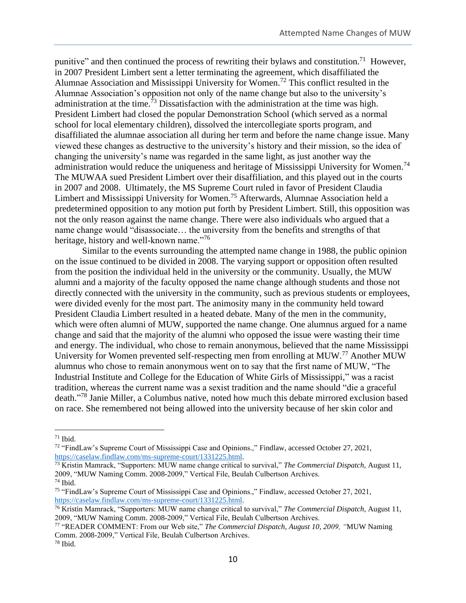punitive" and then continued the process of rewriting their bylaws and constitution.<sup>71</sup> However, in 2007 President Limbert sent a letter terminating the agreement, which disaffiliated the Alumnae Association and Mississippi University for Women.<sup>72</sup> This conflict resulted in the Alumnae Association's opposition not only of the name change but also to the university's administration at the time.<sup>73</sup> Dissatisfaction with the administration at the time was high. President Limbert had closed the popular Demonstration School (which served as a normal school for local elementary children), dissolved the intercollegiate sports program, and disaffiliated the alumnae association all during her term and before the name change issue. Many viewed these changes as destructive to the university's history and their mission, so the idea of changing the university's name was regarded in the same light, as just another way the administration would reduce the uniqueness and heritage of Mississippi University for Women.<sup>74</sup> The MUWAA sued President Limbert over their disaffiliation, and this played out in the courts in 2007 and 2008. Ultimately, the MS Supreme Court ruled in favor of President Claudia Limbert and Mississippi University for Women.<sup>75</sup> Afterwards, Alumnae Association held a predetermined opposition to any motion put forth by President Limbert. Still, this opposition was not the only reason against the name change. There were also individuals who argued that a name change would "disassociate… the university from the benefits and strengths of that heritage, history and well-known name."<sup>76</sup>

Similar to the events surrounding the attempted name change in 1988, the public opinion on the issue continued to be divided in 2008. The varying support or opposition often resulted from the position the individual held in the university or the community. Usually, the MUW alumni and a majority of the faculty opposed the name change although students and those not directly connected with the university in the community, such as previous students or employees, were divided evenly for the most part. The animosity many in the community held toward President Claudia Limbert resulted in a heated debate. Many of the men in the community, which were often alumni of MUW, supported the name change. One alumnus argued for a name change and said that the majority of the alumni who opposed the issue were wasting their time and energy. The individual, who chose to remain anonymous, believed that the name Mississippi University for Women prevented self-respecting men from enrolling at MUW.<sup>77</sup> Another MUW alumnus who chose to remain anonymous went on to say that the first name of MUW, "The Industrial Institute and College for the Education of White Girls of Mississippi," was a racist tradition, whereas the current name was a sexist tradition and the name should "die a graceful death." <sup>78</sup> Janie Miller, a Columbus native, noted how much this debate mirrored exclusion based on race. She remembered not being allowed into the university because of her skin color and

 $71$  Ibid.

<sup>72</sup> "FindLaw's Supreme Court of Mississippi Case and Opinions.," Findlaw, accessed October 27, 2021, [https://caselaw.findlaw.com/ms-supreme-court/1331225.html.](about:blank)

<sup>73</sup> Kristin Mamrack, "Supporters: MUW name change critical to survival," *The Commercial Dispatch,* August 11, 2009, "MUW Naming Comm. 2008-2009," Vertical File, Beulah Culbertson Archives.

<sup>74</sup> Ibid.

<sup>75</sup> "FindLaw's Supreme Court of Mississippi Case and Opinions.," Findlaw, accessed October 27, 2021, [https://caselaw.findlaw.com/ms-supreme-court/1331225.html.](about:blank)

<sup>76</sup> Kristin Mamrack, "Supporters: MUW name change critical to survival," *The Commercial Dispatch,* August 11, 2009, "MUW Naming Comm. 2008-2009," Vertical File, Beulah Culbertson Archives.

<sup>77</sup> "READER COMMENT: From our Web site," *The Commercial Dispatch, August 10, 2009, "*MUW Naming Comm. 2008-2009," Vertical File, Beulah Culbertson Archives. <sup>78</sup> Ibid.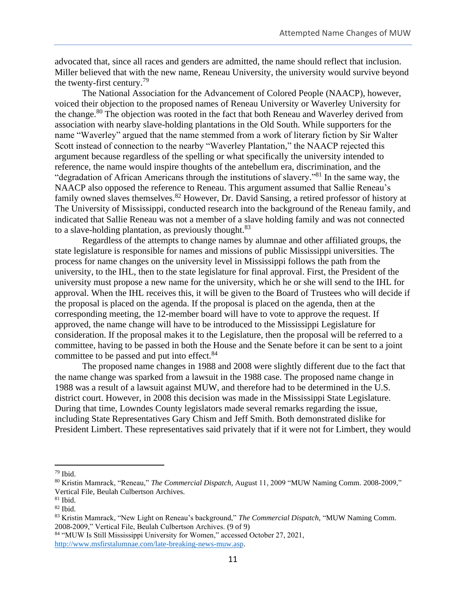advocated that, since all races and genders are admitted, the name should reflect that inclusion. Miller believed that with the new name, Reneau University, the university would survive beyond the twenty-first century.<sup>79</sup>

The National Association for the Advancement of Colored People (NAACP), however, voiced their objection to the proposed names of Reneau University or Waverley University for the change.<sup>80</sup> The objection was rooted in the fact that both Reneau and Waverley derived from association with nearby slave-holding plantations in the Old South. While supporters for the name "Waverley" argued that the name stemmed from a work of literary fiction by Sir Walter Scott instead of connection to the nearby "Waverley Plantation," the NAACP rejected this argument because regardless of the spelling or what specifically the university intended to reference, the name would inspire thoughts of the antebellum era, discrimination, and the "degradation of African Americans through the institutions of slavery." <sup>81</sup> In the same way, the NAACP also opposed the reference to Reneau. This argument assumed that Sallie Reneau's family owned slaves themselves.<sup>82</sup> However, Dr. David Sansing, a retired professor of history at The University of Mississippi, conducted research into the background of the Reneau family, and indicated that Sallie Reneau was not a member of a slave holding family and was not connected to a slave-holding plantation, as previously thought.<sup>83</sup>

Regardless of the attempts to change names by alumnae and other affiliated groups, the state legislature is responsible for names and missions of public Mississippi universities. The process for name changes on the university level in Mississippi follows the path from the university, to the IHL, then to the state legislature for final approval. First, the President of the university must propose a new name for the university, which he or she will send to the IHL for approval. When the IHL receives this, it will be given to the Board of Trustees who will decide if the proposal is placed on the agenda. If the proposal is placed on the agenda, then at the corresponding meeting, the 12-member board will have to vote to approve the request. If approved, the name change will have to be introduced to the Mississippi Legislature for consideration. If the proposal makes it to the Legislature, then the proposal will be referred to a committee, having to be passed in both the House and the Senate before it can be sent to a joint committee to be passed and put into effect.<sup>84</sup>

The proposed name changes in 1988 and 2008 were slightly different due to the fact that the name change was sparked from a lawsuit in the 1988 case. The proposed name change in 1988 was a result of a lawsuit against MUW, and therefore had to be determined in the U.S. district court. However, in 2008 this decision was made in the Mississippi State Legislature. During that time, Lowndes County legislators made several remarks regarding the issue, including State Representatives Gary Chism and Jeff Smith. Both demonstrated dislike for President Limbert. These representatives said privately that if it were not for Limbert, they would

<sup>79</sup> Ibid.

<sup>80</sup> Kristin Mamrack, "Reneau," *The Commercial Dispatch,* August 11, 2009 "MUW Naming Comm. 2008-2009," Vertical File, Beulah Culbertson Archives.

 $81$  Ibid.

 $82$  Ibid.

<sup>83</sup> Kristin Mamrack, "New Light on Reneau's background," *The Commercial Dispatch,* "MUW Naming Comm. 2008-2009," Vertical File, Beulah Culbertson Archives. (9 of 9)

<sup>84</sup> "MUW Is Still Mississippi University for Women," accessed October 27, 2021, [http://www.msfirstalumnae.com/late-breaking-news-muw.asp.](about:blank)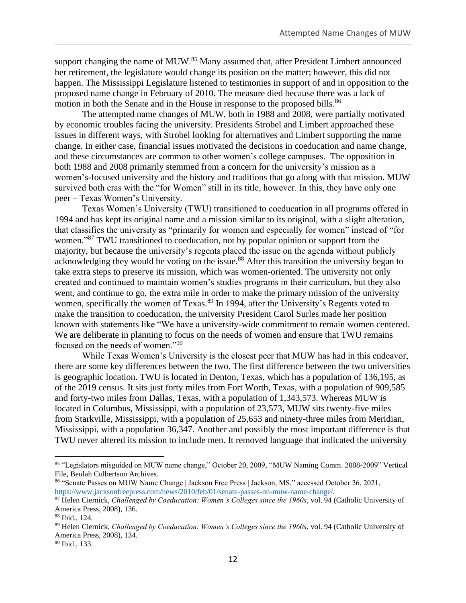support changing the name of MUW.<sup>85</sup> Many assumed that, after President Limbert announced her retirement, the legislature would change its position on the matter; however, this did not happen. The Mississippi Legislature listened to testimonies in support of and in opposition to the proposed name change in February of 2010. The measure died because there was a lack of motion in both the Senate and in the House in response to the proposed bills.<sup>86</sup>

The attempted name changes of MUW, both in 1988 and 2008, were partially motivated by economic troubles facing the university. Presidents Strobel and Limbert approached these issues in different ways, with Strobel looking for alternatives and Limbert supporting the name change. In either case, financial issues motivated the decisions in coeducation and name change, and these circumstances are common to other women's college campuses. The opposition in both 1988 and 2008 primarily stemmed from a concern for the university's mission as a women's-focused university and the history and traditions that go along with that mission. MUW survived both eras with the "for Women" still in its title, however. In this, they have only one peer – Texas Women's University.

Texas Women's University (TWU) transitioned to coeducation in all programs offered in 1994 and has kept its original name and a mission similar to its original, with a slight alteration, that classifies the university as "primarily for women and especially for women" instead of "for women."<sup>87</sup> TWU transitioned to coeducation, not by popular opinion or support from the majority, but because the university's regents placed the issue on the agenda without publicly acknowledging they would be voting on the issue.<sup>88</sup> After this transition the university began to take extra steps to preserve its mission, which was women-oriented. The university not only created and continued to maintain women's studies programs in their curriculum, but they also went, and continue to go, the extra mile in order to make the primary mission of the university women, specifically the women of Texas.<sup>89</sup> In 1994, after the University's Regents voted to make the transition to coeducation, the university President Carol Surles made her position known with statements like "We have a university-wide commitment to remain women centered. We are deliberate in planning to focus on the needs of women and ensure that TWU remains focused on the needs of women."<sup>90</sup>

While Texas Women's University is the closest peer that MUW has had in this endeavor, there are some key differences between the two. The first difference between the two universities is geographic location. TWU is located in Denton, Texas, which has a population of 136,195, as of the 2019 census. It sits just forty miles from Fort Worth, Texas, with a population of 909,585 and forty-two miles from Dallas, Texas, with a population of 1,343,573. Whereas MUW is located in Columbus, Mississippi, with a population of 23,573, MUW sits twenty-five miles from Starkville, Mississippi, with a population of 25,653 and ninety-three miles from Meridian, Mississippi, with a population 36,347. Another and possibly the most important difference is that TWU never altered its mission to include men. It removed language that indicated the university

<sup>85</sup> "Legislators misguided on MUW name change," October 20, 2009, "MUW Naming Comm. 2008-2009" Vertical File, Beulah Culbertson Archives.

<sup>86</sup> "Senate Passes on MUW Name Change | Jackson Free Press | Jackson, MS," accessed October 26, 2021, [https://www.jacksonfreepress.com/news/2010/feb/01/senate-passes-on-muw-name-change/.](about:blank)

<sup>87</sup> Helen Ciernick, *Challenged by Coeducation: Women's Colleges since the 1960s*, vol. 94 (Catholic University of America Press, 2008), 136.

<sup>88</sup> Ibid., 124.

<sup>89</sup> Helen Ciernick, *Challenged by Coeducation: Women's Colleges since the 1960s*, vol. 94 (Catholic University of America Press, 2008), 134.

<sup>90</sup> Ibid., 133.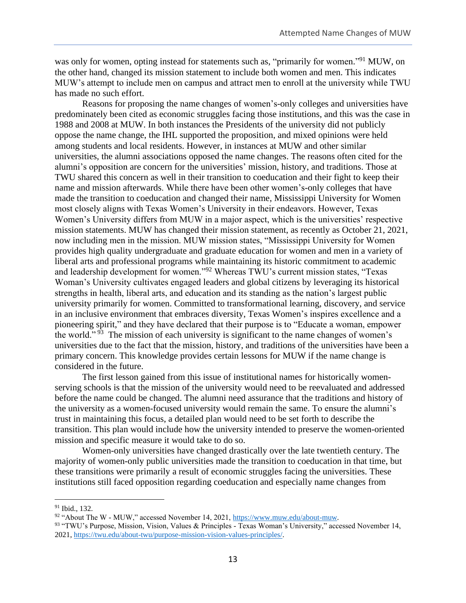was only for women, opting instead for statements such as, "primarily for women."<sup>91</sup> MUW, on the other hand, changed its mission statement to include both women and men. This indicates MUW's attempt to include men on campus and attract men to enroll at the university while TWU has made no such effort.

Reasons for proposing the name changes of women's-only colleges and universities have predominately been cited as economic struggles facing those institutions, and this was the case in 1988 and 2008 at MUW. In both instances the Presidents of the university did not publicly oppose the name change, the IHL supported the proposition, and mixed opinions were held among students and local residents. However, in instances at MUW and other similar universities, the alumni associations opposed the name changes. The reasons often cited for the alumni's opposition are concern for the universities' mission, history, and traditions. Those at TWU shared this concern as well in their transition to coeducation and their fight to keep their name and mission afterwards. While there have been other women's-only colleges that have made the transition to coeducation and changed their name, Mississippi University for Women most closely aligns with Texas Women's University in their endeavors. However, Texas Women's University differs from MUW in a major aspect, which is the universities' respective mission statements. MUW has changed their mission statement, as recently as October 21, 2021, now including men in the mission. MUW mission states, "Mississippi University for Women provides high quality undergraduate and graduate education for women and men in a variety of liberal arts and professional programs while maintaining its historic commitment to academic and leadership development for women."<sup>92</sup> Whereas TWU's current mission states, "Texas Woman's University cultivates engaged leaders and global citizens by leveraging its historical strengths in health, liberal arts, and education and its standing as the nation's largest public university primarily for women. Committed to transformational learning, discovery, and service in an inclusive environment that embraces diversity, Texas Women's inspires excellence and a pioneering spirit," and they have declared that their purpose is to "Educate a woman, empower the world."<sup>93</sup> The mission of each university is significant to the name changes of women's universities due to the fact that the mission, history, and traditions of the universities have been a primary concern. This knowledge provides certain lessons for MUW if the name change is considered in the future.

The first lesson gained from this issue of institutional names for historically womenserving schools is that the mission of the university would need to be reevaluated and addressed before the name could be changed. The alumni need assurance that the traditions and history of the university as a women-focused university would remain the same. To ensure the alumni's trust in maintaining this focus, a detailed plan would need to be set forth to describe the transition. This plan would include how the university intended to preserve the women-oriented mission and specific measure it would take to do so.

Women-only universities have changed drastically over the late twentieth century. The majority of women-only public universities made the transition to coeducation in that time, but these transitions were primarily a result of economic struggles facing the universities. These institutions still faced opposition regarding coeducation and especially name changes from

<sup>91</sup> Ibid., 132.

<sup>92</sup> "About The W - MUW," accessed November 14, 2021, [https://www.muw.edu/about-muw.](about:blank)

<sup>93</sup> "TWU's Purpose, Mission, Vision, Values & Principles - Texas Woman's University," accessed November 14, 2021, [https://twu.edu/about-twu/purpose-mission-vision-values-principles/.](about:blank)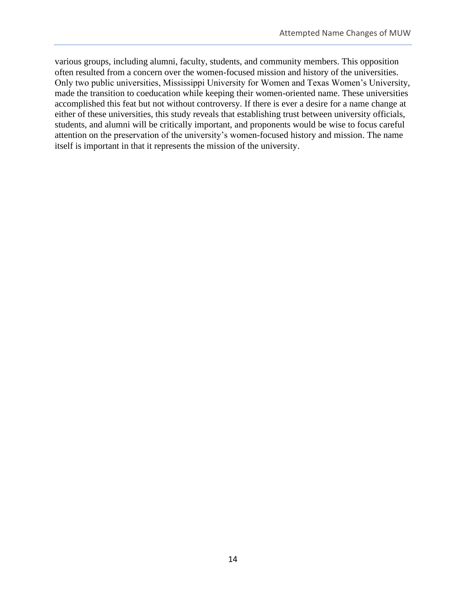various groups, including alumni, faculty, students, and community members. This opposition often resulted from a concern over the women-focused mission and history of the universities. Only two public universities, Mississippi University for Women and Texas Women's University, made the transition to coeducation while keeping their women-oriented name. These universities accomplished this feat but not without controversy. If there is ever a desire for a name change at either of these universities, this study reveals that establishing trust between university officials, students, and alumni will be critically important, and proponents would be wise to focus careful attention on the preservation of the university's women-focused history and mission. The name itself is important in that it represents the mission of the university.